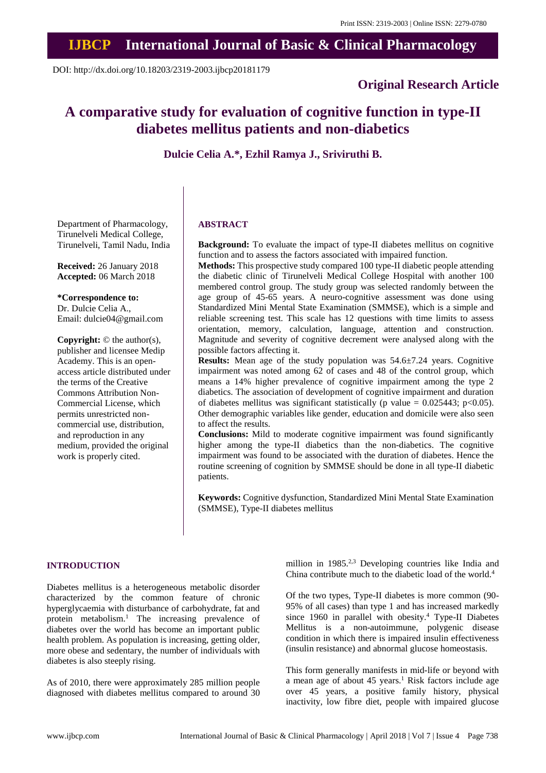# **IJBCP International Journal of Basic & Clinical Pharmacology**

DOI: http://dx.doi.org/10.18203/2319-2003.ijbcp20181179

# **Original Research Article**

# **A comparative study for evaluation of cognitive function in type-II diabetes mellitus patients and non-diabetics**

**Dulcie Celia A.\*, Ezhil Ramya J., Sriviruthi B.**

Department of Pharmacology, Tirunelveli Medical College, Tirunelveli, Tamil Nadu, India

**Received:** 26 January 2018 **Accepted:** 06 March 2018

## **\*Correspondence to:**

Dr. Dulcie Celia A., Email: dulcie04@gmail.com

**Copyright:** © the author(s), publisher and licensee Medip Academy. This is an openaccess article distributed under the terms of the Creative Commons Attribution Non-Commercial License, which permits unrestricted noncommercial use, distribution, and reproduction in any medium, provided the original work is properly cited.

## **ABSTRACT**

**Background:** To evaluate the impact of type-II diabetes mellitus on cognitive function and to assess the factors associated with impaired function.

**Methods:** This prospective study compared 100 type-II diabetic people attending the diabetic clinic of Tirunelveli Medical College Hospital with another 100 membered control group. The study group was selected randomly between the age group of 45-65 years. A neuro-cognitive assessment was done using Standardized Mini Mental State Examination (SMMSE), which is a simple and reliable screening test. This scale has 12 questions with time limits to assess orientation, memory, calculation, language, attention and construction. Magnitude and severity of cognitive decrement were analysed along with the possible factors affecting it.

**Results:** Mean age of the study population was 54.6±7.24 years. Cognitive impairment was noted among 62 of cases and 48 of the control group, which means a 14% higher prevalence of cognitive impairment among the type 2 diabetics. The association of development of cognitive impairment and duration of diabetes mellitus was significant statistically (p value =  $0.025443$ ; p<0.05). Other demographic variables like gender, education and domicile were also seen to affect the results.

**Conclusions:** Mild to moderate cognitive impairment was found significantly higher among the type-II diabetics than the non-diabetics. The cognitive impairment was found to be associated with the duration of diabetes. Hence the routine screening of cognition by SMMSE should be done in all type-II diabetic patients.

**Keywords:** Cognitive dysfunction, Standardized Mini Mental State Examination (SMMSE), Type-II diabetes mellitus

#### **INTRODUCTION**

Diabetes mellitus is a heterogeneous metabolic disorder characterized by the common feature of chronic hyperglycaemia with disturbance of carbohydrate, fat and protein metabolism.<sup>1</sup> The increasing prevalence of diabetes over the world has become an important public health problem. As population is increasing, getting older, more obese and sedentary, the number of individuals with diabetes is also steeply rising.

As of 2010, there were approximately 285 million people diagnosed with diabetes mellitus compared to around 30 million in 1985.<sup>2,3</sup> Developing countries like India and China contribute much to the diabetic load of the world.<sup>4</sup>

Of the two types, Type-II diabetes is more common (90- 95% of all cases) than type 1 and has increased markedly since 1960 in parallel with obesity.<sup>4</sup> Type-II Diabetes Mellitus is a non-autoimmune, polygenic disease condition in which there is impaired insulin effectiveness (insulin resistance) and abnormal glucose homeostasis.

This form generally manifests in mid-life or beyond with a mean age of about 45 years.<sup>1</sup> Risk factors include age over 45 years, a positive family history, physical inactivity, low fibre diet, people with impaired glucose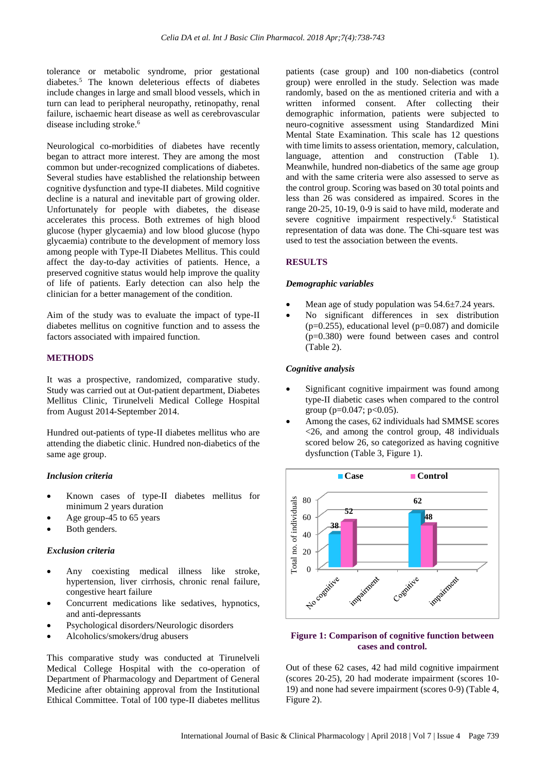tolerance or metabolic syndrome, prior gestational diabetes.<sup>5</sup> The known deleterious effects of diabetes include changes in large and small blood vessels, which in turn can lead to peripheral neuropathy, retinopathy, renal failure, ischaemic heart disease as well as cerebrovascular disease including stroke.<sup>6</sup>

Neurological co-morbidities of diabetes have recently began to attract more interest. They are among the most common but under-recognized complications of diabetes. Several studies have established the relationship between cognitive dysfunction and type-II diabetes. Mild cognitive decline is a natural and inevitable part of growing older. Unfortunately for people with diabetes, the disease accelerates this process. Both extremes of high blood glucose (hyper glycaemia) and low blood glucose (hypo glycaemia) contribute to the development of memory loss among people with Type-II Diabetes Mellitus. This could affect the day-to-day activities of patients. Hence, a preserved cognitive status would help improve the quality of life of patients. Early detection can also help the clinician for a better management of the condition.

Aim of the study was to evaluate the impact of type-II diabetes mellitus on cognitive function and to assess the factors associated with impaired function.

## **METHODS**

It was a prospective, randomized, comparative study. Study was carried out at Out-patient department, Diabetes Mellitus Clinic, Tirunelveli Medical College Hospital from August 2014-September 2014.

Hundred out-patients of type-II diabetes mellitus who are attending the diabetic clinic. Hundred non-diabetics of the same age group.

#### *Inclusion criteria*

- Known cases of type-II diabetes mellitus for minimum 2 years duration
- Age group-45 to 65 years
- Both genders.

#### *Exclusion criteria*

- Any coexisting medical illness like stroke, hypertension, liver cirrhosis, chronic renal failure, congestive heart failure
- Concurrent medications like sedatives, hypnotics, and anti-depressants
- Psychological disorders/Neurologic disorders
- Alcoholics/smokers/drug abusers

This comparative study was conducted at Tirunelveli Medical College Hospital with the co-operation of Department of Pharmacology and Department of General Medicine after obtaining approval from the Institutional Ethical Committee. Total of 100 type-II diabetes mellitus patients (case group) and 100 non-diabetics (control group) were enrolled in the study. Selection was made randomly, based on the as mentioned criteria and with a written informed consent. After collecting their demographic information, patients were subjected to neuro-cognitive assessment using Standardized Mini Mental State Examination. This scale has 12 questions with time limits to assess orientation, memory, calculation, language, attention and construction (Table 1). Meanwhile, hundred non-diabetics of the same age group and with the same criteria were also assessed to serve as the control group. Scoring was based on 30 total points and less than 26 was considered as impaired. Scores in the range 20-25, 10-19, 0-9 is said to have mild, moderate and severe cognitive impairment respectively.<sup>6</sup> Statistical representation of data was done. The Chi-square test was used to test the association between the events.

## **RESULTS**

#### *Demographic variables*

- Mean age of study population was  $54.6\pm7.24$  years.
- No significant differences in sex distribution  $(p=0.255)$ , educational level  $(p=0.087)$  and domicile (p=0.380) were found between cases and control (Table 2).

## *Cognitive analysis*

- Significant cognitive impairment was found among type-II diabetic cases when compared to the control group ( $p=0.047$ ;  $p<0.05$ ).
- Among the cases, 62 individuals had SMMSE scores <26, and among the control group, 48 individuals scored below 26, so categorized as having cognitive dysfunction (Table 3, Figure 1).



### **Figure 1: Comparison of cognitive function between cases and control.**

Out of these 62 cases, 42 had mild cognitive impairment (scores 20-25), 20 had moderate impairment (scores 10- 19) and none had severe impairment (scores 0-9) (Table 4, Figure 2).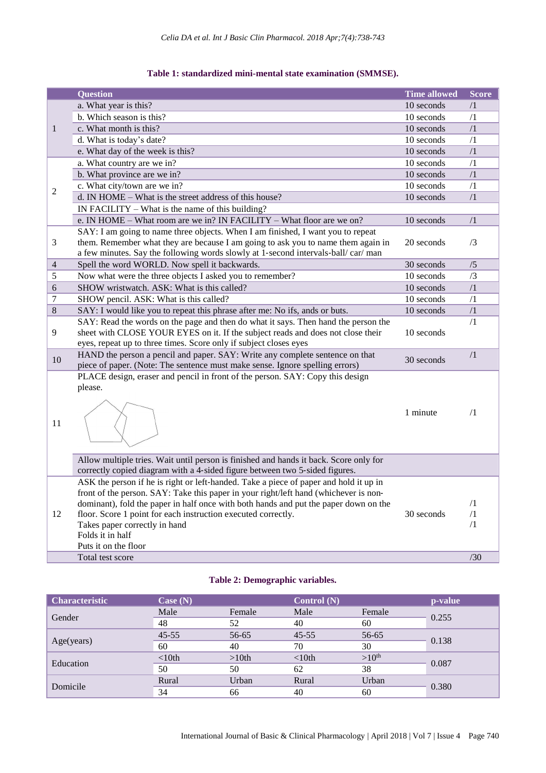| Table 1: standardized mini-mental state examination (SMMSE). |  |  |  |
|--------------------------------------------------------------|--|--|--|
|--------------------------------------------------------------|--|--|--|

|                | <b>Question</b>                                                                       | <b>Time allowed</b> | <b>Score</b> |
|----------------|---------------------------------------------------------------------------------------|---------------------|--------------|
|                | a. What year is this?                                                                 | 10 seconds          | $\sqrt{1}$   |
| $\mathbf{1}$   | b. Which season is this?                                                              | 10 seconds          | /1           |
|                | c. What month is this?                                                                | 10 seconds          | $\sqrt{1}$   |
|                | d. What is today's date?                                                              | 10 seconds          | /1           |
|                | e. What day of the week is this?                                                      | 10 seconds          | $\sqrt{1}$   |
|                | a. What country are we in?                                                            | 10 seconds          | $\sqrt{1}$   |
|                | b. What province are we in?                                                           | 10 seconds          | $\sqrt{1}$   |
|                | c. What city/town are we in?                                                          | 10 seconds          | $\sqrt{1}$   |
| $\overline{2}$ | d. IN HOME - What is the street address of this house?                                | 10 seconds          | $\sqrt{1}$   |
|                | IN FACILITY – What is the name of this building?                                      |                     |              |
|                | e. IN HOME - What room are we in? IN FACILITY - What floor are we on?                 | 10 seconds          | $\sqrt{1}$   |
|                | SAY: I am going to name three objects. When I am finished, I want you to repeat       |                     |              |
| 3              | them. Remember what they are because I am going to ask you to name them again in      | 20 seconds          | /3           |
|                | a few minutes. Say the following words slowly at 1-second intervals-ball/car/man      |                     |              |
| 4              | Spell the word WORLD. Now spell it backwards.                                         | 30 seconds          | /5           |
| 5              | Now what were the three objects I asked you to remember?                              | 10 seconds          | /3           |
| 6              | SHOW wristwatch. ASK: What is this called?                                            | 10 seconds          | $\sqrt{1}$   |
| $\overline{7}$ | SHOW pencil. ASK: What is this called?                                                | 10 seconds          | /1           |
| 8              | SAY: I would like you to repeat this phrase after me: No ifs, ands or buts.           | 10 seconds          | $\sqrt{1}$   |
|                | SAY: Read the words on the page and then do what it says. Then hand the person the    |                     | $\sqrt{1}$   |
| 9              | sheet with CLOSE YOUR EYES on it. If the subject reads and does not close their       | 10 seconds          |              |
|                | eyes, repeat up to three times. Score only if subject closes eyes                     |                     |              |
|                | HAND the person a pencil and paper. SAY: Write any complete sentence on that          |                     | $/1\,$       |
| 10             | piece of paper. (Note: The sentence must make sense. Ignore spelling errors)          | 30 seconds          |              |
|                | PLACE design, eraser and pencil in front of the person. SAY: Copy this design         |                     |              |
|                | please.                                                                               |                     |              |
|                |                                                                                       |                     |              |
|                |                                                                                       | 1 minute            | $\sqrt{1}$   |
| 11             |                                                                                       |                     |              |
|                |                                                                                       |                     |              |
|                |                                                                                       |                     |              |
|                | Allow multiple tries. Wait until person is finished and hands it back. Score only for |                     |              |
|                | correctly copied diagram with a 4-sided figure between two 5-sided figures.           |                     |              |
|                | ASK the person if he is right or left-handed. Take a piece of paper and hold it up in |                     |              |
|                | front of the person. SAY: Take this paper in your right/left hand (whichever is non-  |                     |              |
|                | dominant), fold the paper in half once with both hands and put the paper down on the  |                     | $\sqrt{1}$   |
| 12             | floor. Score 1 point for each instruction executed correctly.                         | 30 seconds          | /1           |
|                | Takes paper correctly in hand                                                         |                     | $\sqrt{1}$   |
|                | Folds it in half                                                                      |                     |              |
|                | Puts it on the floor                                                                  |                     |              |
|                | Total test score                                                                      |                     | /30          |

## **Table 2: Demographic variables.**

| <b>Characteristic</b> | Case $(N)$ |          | Control $(N)$ |                   | p-value |
|-----------------------|------------|----------|---------------|-------------------|---------|
| Gender                | Male       | Female   | Male          | Female            | 0.255   |
|                       | 48         | 52       | 40            | 60                |         |
|                       | $45 - 55$  | 56-65    | $45 - 55$     | 56-65             | 0.138   |
| Age(years)            | 60         | 40       | 70            | 30                |         |
| Education             | $< 10$ th  | $>10$ th | < 10th        | >10 <sup>th</sup> | 0.087   |
|                       | 50         | 50       | 62            | 38                |         |
|                       | Rural      | Urban    | Rural         | Urban             | 0.380   |
| Domicile              | 34         | 66       | 40            | 60                |         |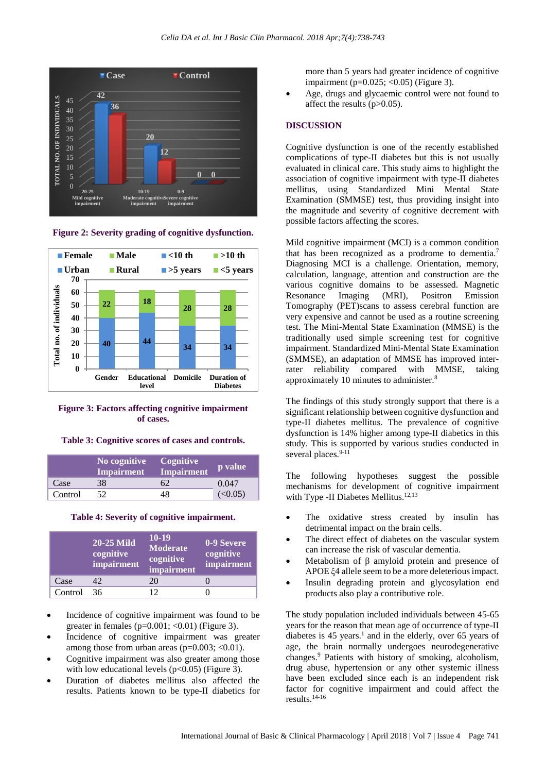

**Figure 2: Severity grading of cognitive dysfunction.**



**Figure 3: Factors affecting cognitive impairment of cases.**

#### **Table 3: Cognitive scores of cases and controls.**

|         | No cognitive<br><b>Impairment</b> | Cognitive<br><b>Impairment</b> | p value |
|---------|-----------------------------------|--------------------------------|---------|
| Case    | 38                                | 62                             | 0.047   |
| Control |                                   | 48                             | (<0.05) |

#### **Table 4: Severity of cognitive impairment.**

|         | <b>20-25 Mild</b><br>cognitive<br>impairment | 10-19<br><b>Moderate</b><br>cognitive<br>impairment | 0-9 Severe<br>cognitive<br>impairment |
|---------|----------------------------------------------|-----------------------------------------------------|---------------------------------------|
| Case    | 42                                           | 20                                                  |                                       |
| Control | 36                                           | $\mathcal{D}$                                       |                                       |

- Incidence of cognitive impairment was found to be greater in females ( $p=0.001$ ; <0.01) (Figure 3).
- Incidence of cognitive impairment was greater among those from urban areas (p=0.003; <0.01).
- Cognitive impairment was also greater among those with low educational levels  $(p<0.05)$  (Figure 3).
- Duration of diabetes mellitus also affected the results. Patients known to be type-II diabetics for

more than 5 years had greater incidence of cognitive impairment (p=0.025; <0.05) (Figure 3).

Age, drugs and glycaemic control were not found to affect the results (p>0.05).

#### **DISCUSSION**

Cognitive dysfunction is one of the recently established complications of type-II diabetes but this is not usually evaluated in clinical care. This study aims to highlight the association of cognitive impairment with type-II diabetes mellitus, using Standardized Mini Mental State Examination (SMMSE) test, thus providing insight into the magnitude and severity of cognitive decrement with possible factors affecting the scores.

Mild cognitive impairment (MCI) is a common condition that has been recognized as a prodrome to dementia.<sup>7</sup> Diagnosing MCI is a challenge. Orientation, memory, calculation, language, attention and construction are the various cognitive domains to be assessed. Magnetic Resonance Imaging (MRI), Positron Emission Tomography (PET)scans to assess cerebral function are very expensive and cannot be used as a routine screening test. The Mini-Mental State Examination (MMSE) is the traditionally used simple screening test for cognitive impairment. Standardized Mini-Mental State Examination (SMMSE), an adaptation of MMSE has improved interrater reliability compared with MMSE, taking approximately 10 minutes to administer.<sup>8</sup>

The findings of this study strongly support that there is a significant relationship between cognitive dysfunction and type-II diabetes mellitus. The prevalence of cognitive dysfunction is 14% higher among type-II diabetics in this study. This is supported by various studies conducted in several places.<sup>9-11</sup>

The following hypotheses suggest the possible mechanisms for development of cognitive impairment with Type -II Diabetes Mellitus.<sup>12,13</sup>

- The oxidative stress created by insulin has detrimental impact on the brain cells.
- The direct effect of diabetes on the vascular system can increase the risk of vascular dementia.
- Metabolism of β amyloid protein and presence of APOE ξ4 allele seem to be a more deleteriousimpact.
- Insulin degrading protein and glycosylation end products also play a contributive role.

The study population included individuals between 45-65 years for the reason that mean age of occurrence of type-II diabetes is  $45$  years.<sup>1</sup> and in the elderly, over 65 years of age, the brain normally undergoes neurodegenerative changes.<sup>9</sup> Patients with history of smoking, alcoholism, drug abuse, hypertension or any other systemic illness have been excluded since each is an independent risk factor for cognitive impairment and could affect the results.14-16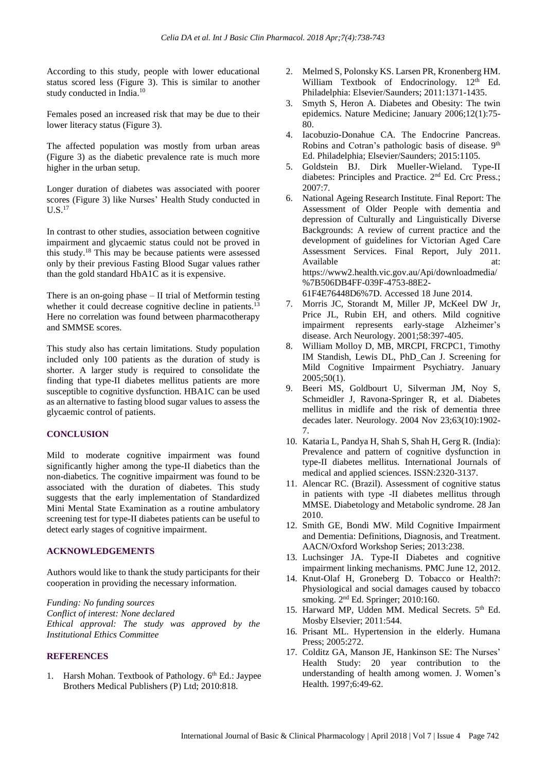According to this study, people with lower educational status scored less (Figure 3). This is similar to another study conducted in India.<sup>10</sup>

Females posed an increased risk that may be due to their lower literacy status (Figure 3).

The affected population was mostly from urban areas (Figure 3) as the diabetic prevalence rate is much more higher in the urban setup.

Longer duration of diabetes was associated with poorer scores (Figure 3) like Nurses' Health Study conducted in U.S.<sup>17</sup>

In contrast to other studies, association between cognitive impairment and glycaemic status could not be proved in this study.<sup>18</sup> This may be because patients were assessed only by their previous Fasting Blood Sugar values rather than the gold standard HbA1C as it is expensive.

There is an on-going phase – II trial of Metformin testing whether it could decrease cognitive decline in patients.<sup>13</sup> Here no correlation was found between pharmacotherapy and SMMSE scores.

This study also has certain limitations. Study population included only 100 patients as the duration of study is shorter. A larger study is required to consolidate the finding that type-II diabetes mellitus patients are more susceptible to cognitive dysfunction. HBA1C can be used as an alternative to fasting blood sugar values to assess the glycaemic control of patients.

## **CONCLUSION**

Mild to moderate cognitive impairment was found significantly higher among the type-II diabetics than the non-diabetics. The cognitive impairment was found to be associated with the duration of diabetes. This study suggests that the early implementation of Standardized Mini Mental State Examination as a routine ambulatory screening test for type-II diabetes patients can be useful to detect early stages of cognitive impairment.

## **ACKNOWLEDGEMENTS**

Authors would like to thank the study participants for their cooperation in providing the necessary information.

*Funding: No funding sources Conflict of interest: None declared Ethical approval: The study was approved by the Institutional Ethics Committee*

## **REFERENCES**

1. Harsh Mohan. Textbook of Pathology. 6<sup>th</sup> Ed.: Jaypee Brothers Medical Publishers (P) Ltd; 2010:818.

- 2. Melmed S, Polonsky KS. Larsen PR, Kronenberg HM. William Textbook of Endocrinology. 12<sup>th</sup> Ed. Philadelphia: Elsevier/Saunders; 2011:1371-1435.
- 3. Smyth S, Heron A. Diabetes and Obesity: The twin epidemics. Nature Medicine; January 2006;12(1):75- 80.
- 4. Iacobuzio-Donahue CA. The Endocrine Pancreas. Robins and Cotran's pathologic basis of disease. 9<sup>th</sup> Ed. Philadelphia; Elsevier/Saunders; 2015:1105.
- 5. Goldstein BJ. Dirk Mueller-Wieland. Type-II diabetes: Principles and Practice. 2<sup>nd</sup> Ed. Crc Press.; 2007:7.
- 6. National Ageing Research Institute. Final Report: The Assessment of Older People with dementia and depression of Culturally and Linguistically Diverse Backgrounds: A review of current practice and the development of guidelines for Victorian Aged Care Assessment Services. Final Report, July 2011. Available at: at: https://www2.health.vic.gov.au/Api/downloadmedia/ %7B506DB4FF-039F-4753-88E2- 61F4E76448D6%7D. Accessed 18 June 2014.
- 7. Morris JC, Storandt M, Miller JP, McKeel DW Jr, Price JL, Rubin EH, and others. Mild cognitive impairment represents early-stage Alzheimer's disease. Arch Neurology. 2001;58:397-405.
- 8. William Molloy D, MB, MRCPI, FRCPC1, Timothy IM Standish, Lewis DL, PhD\_Can J. Screening for Mild Cognitive Impairment Psychiatry. January 2005;50(1).
- 9. Beeri MS, Goldbourt U, Silverman JM, Noy S, Schmeidler J, Ravona-Springer R, et al. Diabetes mellitus in midlife and the risk of dementia three decades later. Neurology. 2004 Nov 23;63(10):1902- 7.
- 10. Kataria L, Pandya H, Shah S, Shah H, Gerg R. (India): Prevalence and pattern of cognitive dysfunction in type-II diabetes mellitus. International Journals of medical and applied sciences. ISSN:2320-3137.
- 11. Alencar RC. (Brazil). Assessment of cognitive status in patients with type -II diabetes mellitus through MMSE. Diabetology and Metabolic syndrome. 28 Jan 2010.
- 12. Smith GE, Bondi MW. Mild Cognitive Impairment and Dementia: Definitions, Diagnosis, and Treatment. AACN/Oxford Workshop Series; 2013:238.
- 13. Luchsinger JA. Type-II Diabetes and cognitive impairment linking mechanisms. PMC June 12, 2012.
- 14. Knut-Olaf H, Groneberg D. Tobacco or Health?: Physiological and social damages caused by tobacco smoking. 2<sup>nd</sup> Ed. Springer; 2010:160.
- 15. Harward MP, Udden MM. Medical Secrets. 5th Ed. Mosby Elsevier; 2011:544.
- 16. Prisant ML. Hypertension in the elderly. Humana Press; 2005:272.
- 17. Colditz GA, Manson JE, Hankinson SE: The Nurses' Health Study: 20 year contribution to the understanding of health among women. J. Women's Health. 1997;6:49-62.